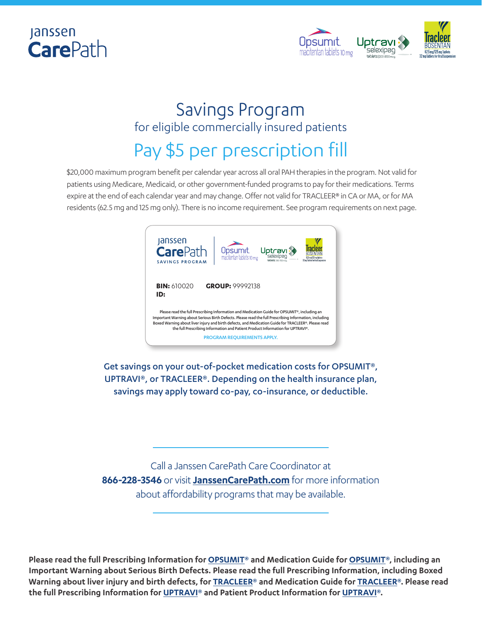



### Savings Program for eligible commercially insured patients

# Pay \$5 per prescription fill

\$20,000 maximum program benefit per calendar year across all oral PAH therapies in the program. Not valid for patients using Medicare, Medicaid, or other government-funded programs to pay for their medications. Terms expire at the end of each calendar year and may change. Offer not valid for TRACLEER® in CA or MA, or for MA residents (62.5 mg and 125 mg only). There is no income requirement. See program requirements on next page.



Get savings on your out-of-pocket medication costs for OPSUMIT®, UPTRAVI®, or TRACLEER®. Depending on the health insurance plan, savings may apply toward co-pay, co-insurance, or deductible.

Call a Janssen CarePath Care Coordinator at **866-228-3546** or visit **[JanssenCarePath.com](https://www.janssencarepath.com)** for more information about affordability programs that may be available.

**Please read the full Prescribing Information for [OPSUMIT®](https://www.janssenlabels.com/package-insert/product-monograph/prescribing-information/OPSUMIT-pi.pdf) and Medication Guide for [OPSUMIT](https://opsumit.com/opsumit-medication-guide.pdf)®, including an Important Warning about Serious Birth Defects. Please read the full Prescribing Information, including Boxed Warning about liver injury and birth defects, for [TRACLEER](https://www.janssenlabels.com/package-insert/product-monograph/prescribing-information/TRACLEER-pi.pdf)® and Medication Guide for [TRACLEER®](https://www.tracleer.com/assets/PDFs/Tracleer_Medication_Guide.pdf). Please read the full Prescribing Information for [UPTRAVI](https://www.janssenlabels.com/package-insert/product-monograph/prescribing-information/UPTRAVI-pi.pdf)® and Patient Product Information for [UPTRAVI®](https://www.janssenlabels.com/package-insert/product-patient-information/UPTRAVI-ppi.pdf).**